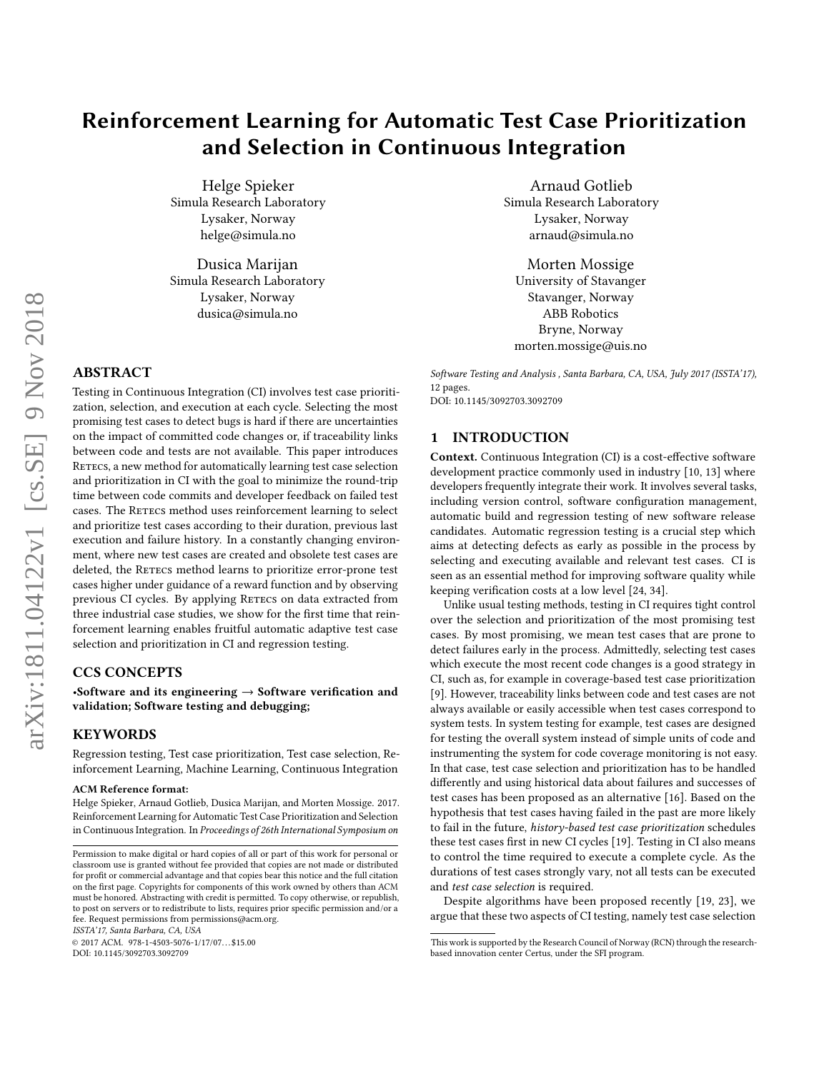# Reinforcement Learning for Automatic Test Case Prioritization and Selection in Continuous Integration

Helge Spieker Simula Research Laboratory Lysaker, Norway helge@simula.no

Dusica Marijan Simula Research Laboratory Lysaker, Norway dusica@simula.no

## ABSTRACT

Testing in Continuous Integration (CI) involves test case prioritization, selection, and execution at each cycle. Selecting the most promising test cases to detect bugs is hard if there are uncertainties on the impact of committed code changes or, if traceability links between code and tests are not available. This paper introduces RETECS, a new method for automatically learning test case selection and prioritization in CI with the goal to minimize the round-trip time between code commits and developer feedback on failed test cases. The RETECS method uses reinforcement learning to select and prioritize test cases according to their duration, previous last execution and failure history. In a constantly changing environment, where new test cases are created and obsolete test cases are deleted, the RETECS method learns to prioritize error-prone test cases higher under guidance of a reward function and by observing previous CI cycles. By applying RETECS on data extracted from three industrial case studies, we show for the first time that reinforcement learning enables fruitful automatic adaptive test case selection and prioritization in CI and regression testing.

## CCS CONCEPTS

•Software and its engineering  $\rightarrow$  Software verification and validation; Software testing and debugging;

## **KEYWORDS**

Regression testing, Test case prioritization, Test case selection, Reinforcement Learning, Machine Learning, Continuous Integration

#### ACM Reference format:

Helge Spieker, Arnaud Gotlieb, Dusica Marijan, and Morten Mossige. 2017. Reinforcement Learning for Automatic Test Case Prioritization and Selection in Continuous Integration. In Proceedings of 26th International Symposium on

ISSTA'17, Santa Barbara, CA, USA

© 2017 ACM. 978-1-4503-5076-1/17/07. . . \$15.00

DOI: 10.1145/3092703.3092709

Arnaud Gotlieb Simula Research Laboratory Lysaker, Norway arnaud@simula.no

Morten Mossige University of Stavanger Stavanger, Norway ABB Robotics Bryne, Norway morten.mossige@uis.no

Software Testing and Analysis , Santa Barbara, CA, USA, July 2017 (ISSTA'17), [12](#page-11-0) pages.

DOI: 10.1145/3092703.3092709

## 1 INTRODUCTION

Context. Continuous Integration (CI) is a cost-effective software development practice commonly used in industry [\[10,](#page-10-0) [13\]](#page-10-1) where developers frequently integrate their work. It involves several tasks, including version control, software configuration management, automatic build and regression testing of new software release candidates. Automatic regression testing is a crucial step which aims at detecting defects as early as possible in the process by selecting and executing available and relevant test cases. CI is seen as an essential method for improving software quality while keeping verification costs at a low level [\[24,](#page-10-2) [34\]](#page-10-3).

Unlike usual testing methods, testing in CI requires tight control over the selection and prioritization of the most promising test cases. By most promising, we mean test cases that are prone to detect failures early in the process. Admittedly, selecting test cases which execute the most recent code changes is a good strategy in CI, such as, for example in coverage-based test case prioritization [\[9\]](#page-10-4). However, traceability links between code and test cases are not always available or easily accessible when test cases correspond to system tests. In system testing for example, test cases are designed for testing the overall system instead of simple units of code and instrumenting the system for code coverage monitoring is not easy. In that case, test case selection and prioritization has to be handled differently and using historical data about failures and successes of test cases has been proposed as an alternative [\[16\]](#page-10-5). Based on the hypothesis that test cases having failed in the past are more likely to fail in the future, history-based test case prioritization schedules these test cases first in new CI cycles [\[19\]](#page-10-6). Testing in CI also means to control the time required to execute a complete cycle. As the durations of test cases strongly vary, not all tests can be executed and test case selection is required.

Despite algorithms have been proposed recently [\[19,](#page-10-6) [23\]](#page-10-7), we argue that these two aspects of CI testing, namely test case selection

Permission to make digital or hard copies of all or part of this work for personal or classroom use is granted without fee provided that copies are not made or distributed for profit or commercial advantage and that copies bear this notice and the full citation on the first page. Copyrights for components of this work owned by others than  $\rm{ACM}$ must be honored. Abstracting with credit is permitted. To copy otherwise, or republish, to post on servers or to redistribute to lists, requires prior specific permission and/or a fee. Request permissions from permissions@acm.org.

This work is supported by the Research Council of Norway (RCN) through the researchbased innovation center Certus, under the SFI program.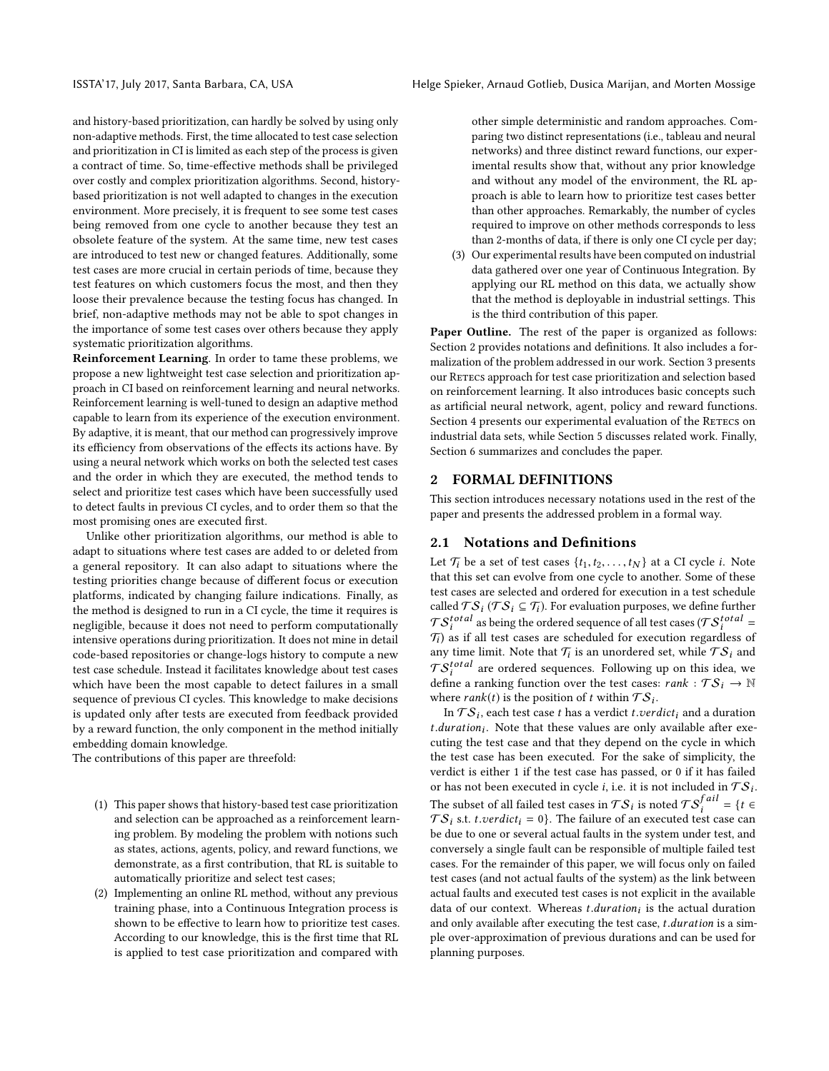and history-based prioritization, can hardly be solved by using only non-adaptive methods. First, the time allocated to test case selection and prioritization in CI is limited as each step of the process is given a contract of time. So, time-effective methods shall be privileged over costly and complex prioritization algorithms. Second, historybased prioritization is not well adapted to changes in the execution environment. More precisely, it is frequent to see some test cases being removed from one cycle to another because they test an obsolete feature of the system. At the same time, new test cases are introduced to test new or changed features. Additionally, some test cases are more crucial in certain periods of time, because they test features on which customers focus the most, and then they loose their prevalence because the testing focus has changed. In brief, non-adaptive methods may not be able to spot changes in the importance of some test cases over others because they apply systematic prioritization algorithms.

Reinforcement Learning. In order to tame these problems, we propose a new lightweight test case selection and prioritization approach in CI based on reinforcement learning and neural networks. Reinforcement learning is well-tuned to design an adaptive method capable to learn from its experience of the execution environment. By adaptive, it is meant, that our method can progressively improve its efficiency from observations of the effects its actions have. By using a neural network which works on both the selected test cases and the order in which they are executed, the method tends to select and prioritize test cases which have been successfully used to detect faults in previous CI cycles, and to order them so that the most promising ones are executed first.

Unlike other prioritization algorithms, our method is able to adapt to situations where test cases are added to or deleted from a general repository. It can also adapt to situations where the testing priorities change because of different focus or execution platforms, indicated by changing failure indications. Finally, as the method is designed to run in a CI cycle, the time it requires is negligible, because it does not need to perform computationally intensive operations during prioritization. It does not mine in detail code-based repositories or change-logs history to compute a new test case schedule. Instead it facilitates knowledge about test cases which have been the most capable to detect failures in a small sequence of previous CI cycles. This knowledge to make decisions is updated only after tests are executed from feedback provided by a reward function, the only component in the method initially embedding domain knowledge.

The contributions of this paper are threefold:

- (1) This paper shows that history-based test case prioritization and selection can be approached as a reinforcement learning problem. By modeling the problem with notions such as states, actions, agents, policy, and reward functions, we demonstrate, as a first contribution, that RL is suitable to automatically prioritize and select test cases;
- (2) Implementing an online RL method, without any previous training phase, into a Continuous Integration process is shown to be effective to learn how to prioritize test cases. According to our knowledge, this is the first time that RL is applied to test case prioritization and compared with

other simple deterministic and random approaches. Comparing two distinct representations (i.e., tableau and neural networks) and three distinct reward functions, our experimental results show that, without any prior knowledge and without any model of the environment, the RL approach is able to learn how to prioritize test cases better than other approaches. Remarkably, the number of cycles required to improve on other methods corresponds to less than 2-months of data, if there is only one CI cycle per day;

(3) Our experimental results have been computed on industrial data gathered over one year of Continuous Integration. By applying our RL method on this data, we actually show that the method is deployable in industrial settings. This is the third contribution of this paper.

Paper Outline. The rest of the paper is organized as follows: Section [2](#page-1-0) provides notations and definitions. It also includes a formalization of the problem addressed in our work. Section [3](#page-2-0) presents our RETECS approach for test case prioritization and selection based on reinforcement learning. It also introduces basic concepts such as artificial neural network, agent, policy and reward functions. Section [4](#page-4-0) presents our experimental evaluation of the RETECS on industrial data sets, while Section [5](#page-9-0) discusses related work. Finally, Section [6](#page-9-1) summarizes and concludes the paper.

#### <span id="page-1-0"></span>2 FORMAL DEFINITIONS

This section introduces necessary notations used in the rest of the paper and presents the addressed problem in a formal way.

## 2.1 Notations and Definitions

Let  $\mathcal{T}_i$  be a set of test cases  $\{t_1, t_2, \ldots, t_N\}$  at a CI cycle *i*. Note that this set can evolve from one cycle to another. Some of these test cases are selected and ordered for execution in a test schedule called  $TS_i$  ( $TS_i \subseteq T_i$ ). For evaluation purposes, we define further  $\mathcal{TS}_i^{total}$  as being the ordered sequence of all test cases ( $\mathcal{TS}_i^{total} =$  $\mathcal{T}_i$ ) as if all test cases are scheduled for execution regardless of any time limit. Note that  $\mathcal{T}_i$  is an unordered set, while  $\mathcal{TS}_i$  and  $\mathcal{TS}_i^{total}$  are ordered sequences. Following up on this idea, we define a ranking function over the test cases: rank :  $TS_i \rightarrow \mathbb{N}$ where rank(t) is the position of t within  $TS_i$ .<br>In  $TS_i$ , each test case t has a verdict t very

In  $TS_i$ , each test case t has a verdict t.verdict<sub>i</sub> and a duration vertician. Note that these values are only available after exer*t.duration<sub>i</sub>*. Note that these values are only available after exe-<br>cuting the test case and that they depend on the cycle in which  $t$ .  $duration_i$ . Note that these values are only available after exethe test case has been executed. For the sake of simplicity, the verdict is either 1 if the test case has passed, or 0 if it has failed or has not been executed in cycle *i*, i.e. it is not included in  $TS_i$ . The subset of all failed test cases in  $TS_i$  is noted  $TS_i^{fail} = \{t \in TS, s,t \text{ } t \text{ }z \text{ }z \text{ }at \text{ }t=0\}$ . The failure of an executed test case can  $TS_i$  s.t. t.verdict<sub>i</sub> = 0}. The failure of an executed test case can be due to one or several actual faults in the system under test, and conversely a single fault can be responsible of multiple failed test cases. For the remainder of this paper, we will focus only on failed test cases (and not actual faults of the system) as the link between actual faults and executed test cases is not explicit in the available data of our context. Whereas *t.duration<sub>i</sub>* is the actual duration<br>and only available after executing the test case *t duration* is a simand only available after executing the test case, t.duration is a simple over-approximation of previous durations and can be used for planning purposes.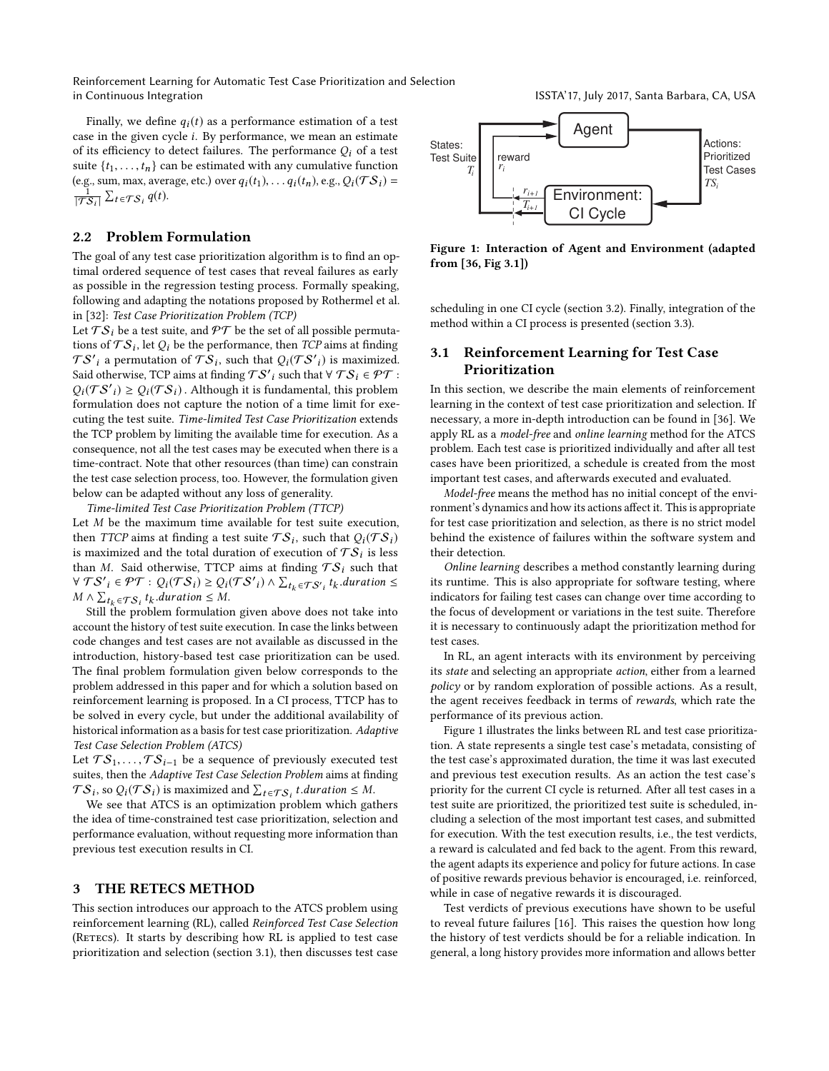Finally, we define  $q_i(t)$  as a performance estimation of a test case in the given cycle i. By performance, we mean an estimate of its efficiency to detect failures. The performance  $Q_i$  of a test suite  $\{t_1, \ldots, t_n\}$  can be estimated with any cumulative function (e.g., sum, max, average, etc.) over  $q_i(t_1), \ldots q_i(t_n)$ , e.g.,  $Q_i(\mathcal{TS}_i)$  =  $\frac{1}{|\mathcal{TS}_i|} \sum_{t \in \mathcal{TS}_i} q(t).$ 

## 2.2 Problem Formulation

The goal of any test case prioritization algorithm is to find an optimal ordered sequence of test cases that reveal failures as early as possible in the regression testing process. Formally speaking, following and adapting the notations proposed by Rothermel et al. in [\[32\]](#page-10-8): Test Case Prioritization Problem (TCP)

Let  $TS_i$  be a test suite, and  $PT$  be the set of all possible permutations of  $TS_i$ , let  $Q_i$  be the performance, then  $TCP$  aims at finding  $TS'$ , a permutation of  $TS_i$ , such that  $O(TS')$  is maximized  $TS'$  a permutation of  $TS_i$ , such that  $Q_i(TS'_i)$  is maximized. Said otherwise, TCP aims at finding  $\mathcal{TS'}_i$  such that  $\forall \mathcal{TS}_i \in \mathcal{PT}$  :  $Q_i(TS'_i) \ge Q_i(TS_i)$ . Although it is fundamental, this problem<br>formulation does not capture the notion of a time limit for exeformulation does not capture the notion of a time limit for executing the test suite. Time-limited Test Case Prioritization extends the TCP problem by limiting the available time for execution. As a consequence, not all the test cases may be executed when there is a time-contract. Note that other resources (than time) can constrain the test case selection process, too. However, the formulation given below can be adapted without any loss of generality.

Time-limited Test Case Prioritization Problem (TTCP)

Let  $M$  be the maximum time available for test suite execution, then *TTCP* aims at finding a test suite  $TS_i$ , such that  $Q_i(TS_i)$ <br>is maximized and the total duration of execution of  $TS_i$ , is less is maximized and the total duration of execution of  $\mathcal{TS}_i$  is less than M. Said otherwise, TTCP aims at finding  $TS_i$  such that  $\forall \mathcal{TS'}_i \in \mathcal{PT} : Q_i(\mathcal{TS}_i) \geq Q_i(\mathcal{TS'}_i) \wedge \sum_{t_k \in \mathcal{TS'}_i} t_k \, \text{duration} \leq M$  $M \wedge \sum_{t_k \in \mathcal{TS}_i} t_k$  duration  $\leq M$ .<br>Still the problem formulation

Still the problem formulation given above does not take into account the history of test suite execution. In case the links between code changes and test cases are not available as discussed in the introduction, history-based test case prioritization can be used. The final problem formulation given below corresponds to the problem addressed in this paper and for which a solution based on reinforcement learning is proposed. In a CI process, TTCP has to be solved in every cycle, but under the additional availability of historical information as a basis for test case prioritization. Adaptive Test Case Selection Problem (ATCS)

Let  $TS_1, \ldots, TS_{i-1}$  be a sequence of previously executed test suites, then the Adaptive Test Case Selection Problem aims at finding  $\mathcal{TS}_i$ , so  $Q_i(\mathcal{TS}_i)$  is maximized and  $\sum_{t \in \mathcal{TS}_i} t$  duration  $\leq M$ .<br>We see that ATCS is an optimization problem which gate

We see that ATCS is an optimization problem which gathers the idea of time-constrained test case prioritization, selection and performance evaluation, without requesting more information than previous test execution results in CI.

#### <span id="page-2-0"></span>3 THE RETECS METHOD

This section introduces our approach to the ATCS problem using reinforcement learning (RL), called Reinforced Test Case Selection (RETECS). It starts by describing how RL is applied to test case prioritization and selection [\(section 3.1\)](#page-2-1), then discusses test case

<span id="page-2-2"></span>

Figure 1: Interaction of Agent and Environment (adapted from [\[36,](#page-10-9) Fig 3.1])

scheduling in one CI cycle [\(section 3.2\)](#page-4-1). Finally, integration of the method within a CI process is presented [\(section 3.3\)](#page-4-2).

## <span id="page-2-1"></span>3.1 Reinforcement Learning for Test Case Prioritization

In this section, we describe the main elements of reinforcement learning in the context of test case prioritization and selection. If necessary, a more in-depth introduction can be found in [\[36\]](#page-10-9). We apply RL as a model-free and online learning method for the ATCS problem. Each test case is prioritized individually and after all test cases have been prioritized, a schedule is created from the most important test cases, and afterwards executed and evaluated.

Model-free means the method has no initial concept of the environment's dynamics and how its actions affect it. This is appropriate for test case prioritization and selection, as there is no strict model behind the existence of failures within the software system and their detection.

Online learning describes a method constantly learning during its runtime. This is also appropriate for software testing, where indicators for failing test cases can change over time according to the focus of development or variations in the test suite. Therefore it is necessary to continuously adapt the prioritization method for test cases.

In RL, an agent interacts with its environment by perceiving its state and selecting an appropriate action, either from a learned policy or by random exploration of possible actions. As a result, the agent receives feedback in terms of rewards, which rate the performance of its previous action.

[Figure 1](#page-2-2) illustrates the links between RL and test case prioritization. A state represents a single test case's metadata, consisting of the test case's approximated duration, the time it was last executed and previous test execution results. As an action the test case's priority for the current CI cycle is returned. After all test cases in a test suite are prioritized, the prioritized test suite is scheduled, including a selection of the most important test cases, and submitted for execution. With the test execution results, i.e., the test verdicts, a reward is calculated and fed back to the agent. From this reward, the agent adapts its experience and policy for future actions. In case of positive rewards previous behavior is encouraged, i.e. reinforced, while in case of negative rewards it is discouraged.

Test verdicts of previous executions have shown to be useful to reveal future failures [\[16\]](#page-10-5). This raises the question how long the history of test verdicts should be for a reliable indication. In general, a long history provides more information and allows better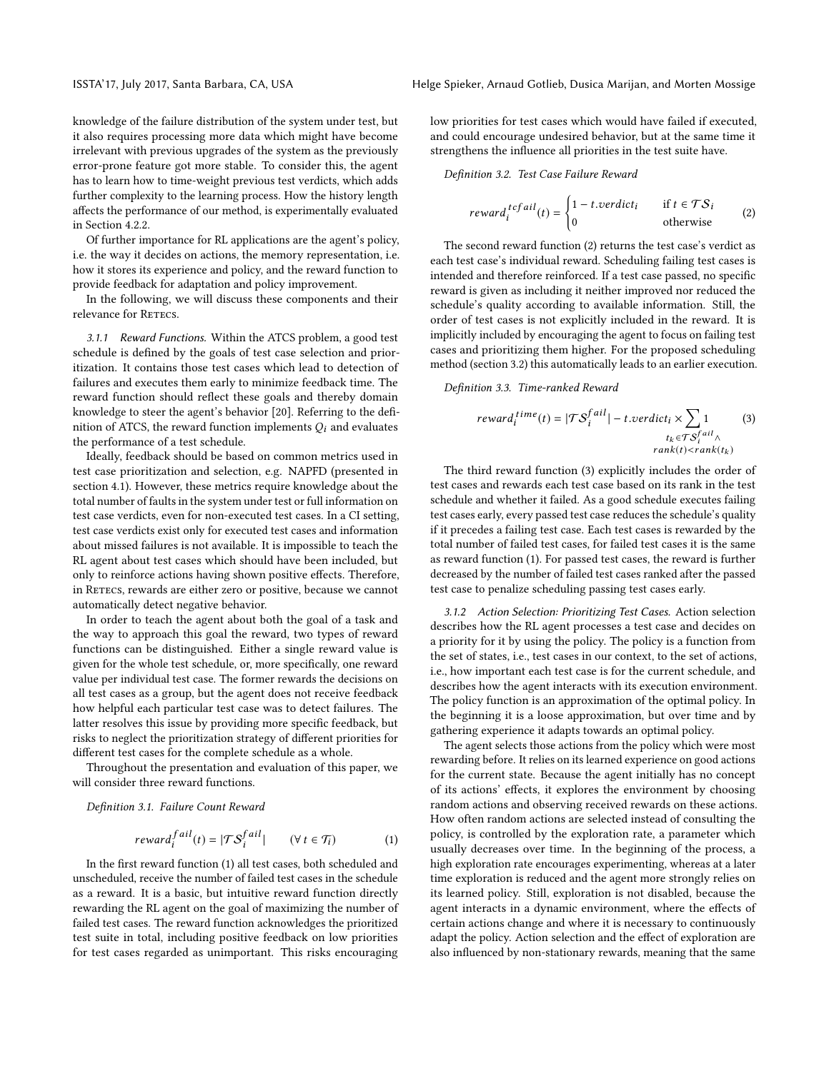knowledge of the failure distribution of the system under test, but it also requires processing more data which might have become irrelevant with previous upgrades of the system as the previously error-prone feature got more stable. To consider this, the agent has to learn how to time-weight previous test verdicts, which adds further complexity to the learning process. How the history length affects the performance of our method, is experimentally evaluated in Section [4.2.2.](#page-5-0)

Of further importance for RL applications are the agent's policy, i.e. the way it decides on actions, the memory representation, i.e. how it stores its experience and policy, and the reward function to provide feedback for adaptation and policy improvement.

In the following, we will discuss these components and their relevance for RETECS.

3.1.1 Reward Functions. Within the ATCS problem, a good test schedule is defined by the goals of test case selection and prioritization. It contains those test cases which lead to detection of failures and executes them early to minimize feedback time. The reward function should reflect these goals and thereby domain knowledge to steer the agent's behavior [\[20\]](#page-10-10). Referring to the definition of ATCS, the reward function implements  $Q_i$  and evaluates the performance of a test schedule.

Ideally, feedback should be based on common metrics used in test case prioritization and selection, e.g. NAPFD (presented in [section 4.1\)](#page-4-3). However, these metrics require knowledge about the total number of faults in the system under test or full information on test case verdicts, even for non-executed test cases. In a CI setting, test case verdicts exist only for executed test cases and information about missed failures is not available. It is impossible to teach the RL agent about test cases which should have been included, but only to reinforce actions having shown positive effects. Therefore, in RETECS, rewards are either zero or positive, because we cannot automatically detect negative behavior.

In order to teach the agent about both the goal of a task and the way to approach this goal the reward, two types of reward functions can be distinguished. Either a single reward value is given for the whole test schedule, or, more specifically, one reward value per individual test case. The former rewards the decisions on all test cases as a group, but the agent does not receive feedback how helpful each particular test case was to detect failures. The latter resolves this issue by providing more specific feedback, but risks to neglect the prioritization strategy of different priorities for different test cases for the complete schedule as a whole.

Throughout the presentation and evaluation of this paper, we will consider three reward functions.

Definition 3.1. Failure Count Reward

<span id="page-3-0"></span>
$$
reward_i^{fail}(t) = |\mathcal{TS}_i^{fail}| \qquad (\forall \ t \in \mathcal{T}_i)
$$
 (1)

In the first reward function [\(1\)](#page-3-0) all test cases, both scheduled and unscheduled, receive the number of failed test cases in the schedule as a reward. It is a basic, but intuitive reward function directly rewarding the RL agent on the goal of maximizing the number of failed test cases. The reward function acknowledges the prioritized test suite in total, including positive feedback on low priorities for test cases regarded as unimportant. This risks encouraging low priorities for test cases which would have failed if executed, and could encourage undesired behavior, but at the same time it strengthens the influence all priorities in the test suite have.

Definition 3.2. Test Case Failure Reward

<span id="page-3-1"></span>
$$
reward_i^{tcfail}(t) = \begin{cases} 1 - t.verdict_i & \text{if } t \in \mathcal{TS}_i \\ 0 & \text{otherwise} \end{cases}
$$
 (2)

The second reward function [\(2\)](#page-3-1) returns the test case's verdict as each test case's individual reward. Scheduling failing test cases is intended and therefore reinforced. If a test case passed, no specific reward is given as including it neither improved nor reduced the schedule's quality according to available information. Still, the order of test cases is not explicitly included in the reward. It is implicitly included by encouraging the agent to focus on failing test cases and prioritizing them higher. For the proposed scheduling method [\(section 3.2\)](#page-4-1) this automatically leads to an earlier execution.

#### Definition 3.3. Time-ranked Reward

<span id="page-3-2"></span>
$$
reward_i^{time}(t) = |\mathcal{TS}_i^{fail}| - t.verdict_i \times \sum_{t_k \in \mathcal{TS}_i^{fail} \wedge \mathcal{TS}_i^{fail}} (3)
$$
\n
$$
rank(t) < rank(t_k)
$$

The third reward function [\(3\)](#page-3-2) explicitly includes the order of test cases and rewards each test case based on its rank in the test schedule and whether it failed. As a good schedule executes failing test cases early, every passed test case reduces the schedule's quality if it precedes a failing test case. Each test cases is rewarded by the total number of failed test cases, for failed test cases it is the same as reward function [\(1\)](#page-3-0). For passed test cases, the reward is further decreased by the number of failed test cases ranked after the passed test case to penalize scheduling passing test cases early.

3.1.2 Action Selection: Prioritizing Test Cases. Action selection describes how the RL agent processes a test case and decides on a priority for it by using the policy. The policy is a function from the set of states, i.e., test cases in our context, to the set of actions, i.e., how important each test case is for the current schedule, and describes how the agent interacts with its execution environment. The policy function is an approximation of the optimal policy. In the beginning it is a loose approximation, but over time and by gathering experience it adapts towards an optimal policy.

The agent selects those actions from the policy which were most rewarding before. It relies on its learned experience on good actions for the current state. Because the agent initially has no concept of its actions' effects, it explores the environment by choosing random actions and observing received rewards on these actions. How often random actions are selected instead of consulting the policy, is controlled by the exploration rate, a parameter which usually decreases over time. In the beginning of the process, a high exploration rate encourages experimenting, whereas at a later time exploration is reduced and the agent more strongly relies on its learned policy. Still, exploration is not disabled, because the agent interacts in a dynamic environment, where the effects of certain actions change and where it is necessary to continuously adapt the policy. Action selection and the effect of exploration are also influenced by non-stationary rewards, meaning that the same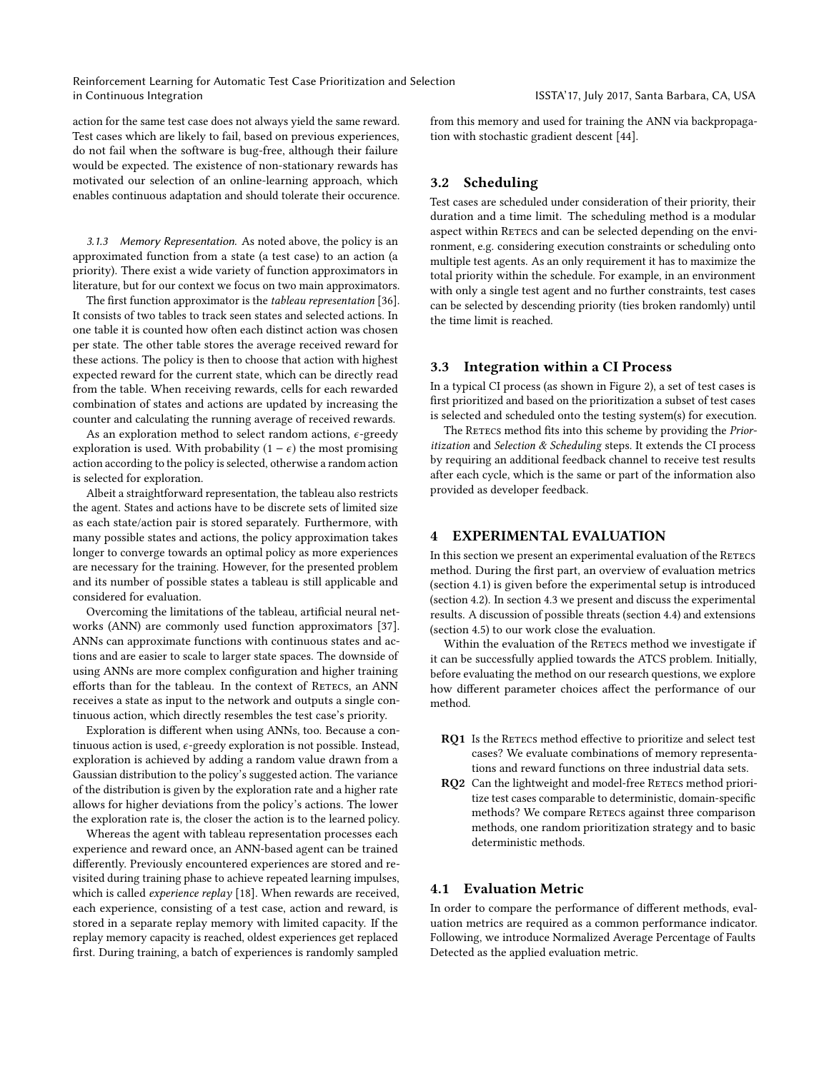action for the same test case does not always yield the same reward. Test cases which are likely to fail, based on previous experiences, do not fail when the software is bug-free, although their failure would be expected. The existence of non-stationary rewards has motivated our selection of an online-learning approach, which enables continuous adaptation and should tolerate their occurence.

3.1.3 Memory Representation. As noted above, the policy is an approximated function from a state (a test case) to an action (a priority). There exist a wide variety of function approximators in literature, but for our context we focus on two main approximators.

The first function approximator is the tableau representation  $[36]$ . It consists of two tables to track seen states and selected actions. In one table it is counted how often each distinct action was chosen per state. The other table stores the average received reward for these actions. The policy is then to choose that action with highest expected reward for the current state, which can be directly read from the table. When receiving rewards, cells for each rewarded combination of states and actions are updated by increasing the counter and calculating the running average of received rewards.

As an exploration method to select random actions,  $\epsilon$ -greedy exploration is used. With probability  $(1 - \epsilon)$  the most promising action according to the policy is selected, otherwise a random action is selected for exploration.

Albeit a straightforward representation, the tableau also restricts the agent. States and actions have to be discrete sets of limited size as each state/action pair is stored separately. Furthermore, with many possible states and actions, the policy approximation takes longer to converge towards an optimal policy as more experiences are necessary for the training. However, for the presented problem and its number of possible states a tableau is still applicable and considered for evaluation.

Overcoming the limitations of the tableau, artificial neural networks (ANN) are commonly used function approximators [\[37\]](#page-10-11). ANNs can approximate functions with continuous states and actions and are easier to scale to larger state spaces. The downside of using ANNs are more complex configuration and higher training efforts than for the tableau. In the context of RETECS, an ANN receives a state as input to the network and outputs a single continuous action, which directly resembles the test case's priority.

Exploration is different when using ANNs, too. Because a continuous action is used,  $\epsilon$ -greedy exploration is not possible. Instead, exploration is achieved by adding a random value drawn from a Gaussian distribution to the policy's suggested action. The variance of the distribution is given by the exploration rate and a higher rate allows for higher deviations from the policy's actions. The lower the exploration rate is, the closer the action is to the learned policy.

Whereas the agent with tableau representation processes each experience and reward once, an ANN-based agent can be trained differently. Previously encountered experiences are stored and revisited during training phase to achieve repeated learning impulses, which is called experience replay [\[18\]](#page-10-12). When rewards are received, each experience, consisting of a test case, action and reward, is stored in a separate replay memory with limited capacity. If the replay memory capacity is reached, oldest experiences get replaced first. During training, a batch of experiences is randomly sampled

from this memory and used for training the ANN via backpropagation with stochastic gradient descent [\[44\]](#page-11-1).

## <span id="page-4-1"></span>3.2 Scheduling

Test cases are scheduled under consideration of their priority, their duration and a time limit. The scheduling method is a modular aspect within RETECS and can be selected depending on the environment, e.g. considering execution constraints or scheduling onto multiple test agents. As an only requirement it has to maximize the total priority within the schedule. For example, in an environment with only a single test agent and no further constraints, test cases can be selected by descending priority (ties broken randomly) until the time limit is reached.

#### <span id="page-4-2"></span>3.3 Integration within a CI Process

In a typical CI process (as shown in [Figure 2\)](#page-5-1), a set of test cases is first prioritized and based on the prioritization a subset of test cases is selected and scheduled onto the testing system(s) for execution.

The RETECS method fits into this scheme by providing the Prioritization and Selection & Scheduling steps. It extends the CI process by requiring an additional feedback channel to receive test results after each cycle, which is the same or part of the information also provided as developer feedback.

## <span id="page-4-0"></span>4 EXPERIMENTAL EVALUATION

In this section we present an experimental evaluation of the RETECS method. During the first part, an overview of evaluation metrics [\(section 4.1\)](#page-4-3) is given before the experimental setup is introduced [\(section 4.2\)](#page-5-2). In [section 4.3](#page-6-0) we present and discuss the experimental results. A discussion of possible threats [\(section 4.4\)](#page-8-0) and extensions [\(section 4.5\)](#page-9-2) to our work close the evaluation.

Within the evaluation of the RETECS method we investigate if it can be successfully applied towards the ATCS problem. Initially, before evaluating the method on our research questions, we explore how different parameter choices affect the performance of our method.

- RO1 Is the RETECS method effective to prioritize and select test cases? We evaluate combinations of memory representations and reward functions on three industrial data sets.
- RQ2 Can the lightweight and model-free RETECS method prioritize test cases comparable to deterministic, domain-specific methods? We compare RETECS against three comparison methods, one random prioritization strategy and to basic deterministic methods.

#### <span id="page-4-3"></span>4.1 Evaluation Metric

In order to compare the performance of different methods, evaluation metrics are required as a common performance indicator. Following, we introduce Normalized Average Percentage of Faults Detected as the applied evaluation metric.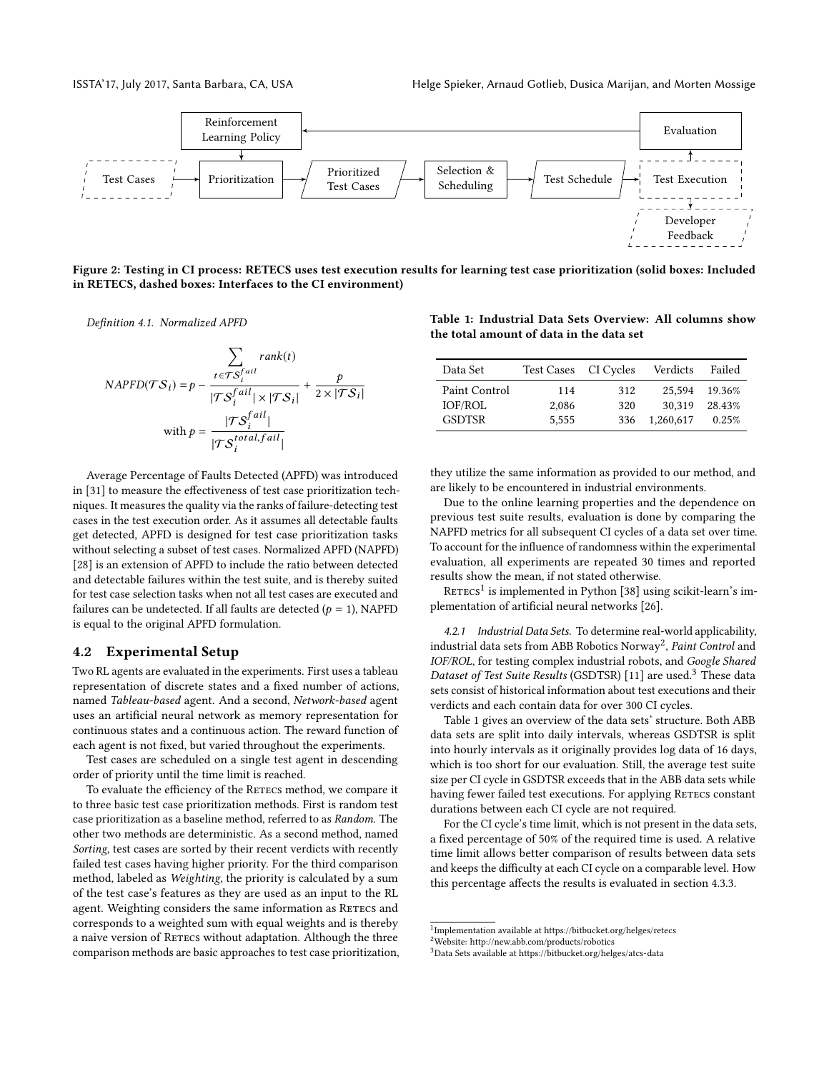<span id="page-5-1"></span>

Figure 2: Testing in CI process: RETECS uses test execution results for learning test case prioritization (solid boxes: Included in RETECS, dashed boxes: Interfaces to the CI environment)

Definition 4.1. Normalized APFD

$$
\sum_{\text{NAPFD}(\mathcal{T}S_i)} \operatorname{rank}(t)
$$
\n
$$
\text{NAPFD}(\mathcal{T}S_i) = p - \frac{t \in \mathcal{T}S_i^{fail} |}{|\mathcal{T}S_i^{fail}| |\times |\mathcal{T}S_i|} + \frac{p}{2 \times |\mathcal{T}S_i|}
$$
\n
$$
\text{with } p = \frac{|\mathcal{T}S_i^{fail}|}{|\mathcal{T}S_i^{total,fail}|}
$$

Average Percentage of Faults Detected (APFD) was introduced in [\[31\]](#page-10-13) to measure the effectiveness of test case prioritization techniques. It measures the quality via the ranks of failure-detecting test cases in the test execution order. As it assumes all detectable faults get detected, APFD is designed for test case prioritization tasks without selecting a subset of test cases. Normalized APFD (NAPFD) [\[28\]](#page-10-14) is an extension of APFD to include the ratio between detected and detectable failures within the test suite, and is thereby suited for test case selection tasks when not all test cases are executed and failures can be undetected. If all faults are detected ( $p = 1$ ), NAPFD is equal to the original APFD formulation.

#### <span id="page-5-2"></span>4.2 Experimental Setup

Two RL agents are evaluated in the experiments. First uses a tableau representation of discrete states and a fixed number of actions, named Tableau-based agent. And a second, Network-based agent uses an artificial neural network as memory representation for continuous states and a continuous action. The reward function of each agent is not fixed, but varied throughout the experiments.

Test cases are scheduled on a single test agent in descending order of priority until the time limit is reached.

To evaluate the efficiency of the RETECS method, we compare it to three basic test case prioritization methods. First is random test case prioritization as a baseline method, referred to as Random. The other two methods are deterministic. As a second method, named Sorting, test cases are sorted by their recent verdicts with recently failed test cases having higher priority. For the third comparison method, labeled as Weighting, the priority is calculated by a sum of the test case's features as they are used as an input to the RL agent. Weighting considers the same information as RETECS and corresponds to a weighted sum with equal weights and is thereby a naive version of RETECS without adaptation. Although the three comparison methods are basic approaches to test case prioritization,

<span id="page-5-6"></span>Table 1: Industrial Data Sets Overview: All columns show the total amount of data in the data set

| Data Set      | Test Cases CI Cycles |     | Verdicts  | Failed |
|---------------|----------------------|-----|-----------|--------|
| Paint Control | 114                  | 312 | 25.594    | 19.36% |
| IOF/ROL       | 2.086                | 320 | 30.319    | 28.43% |
| <b>GSDTSR</b> | 5.555                | 336 | 1.260.617 | 0.25%  |

they utilize the same information as provided to our method, and are likely to be encountered in industrial environments.

Due to the online learning properties and the dependence on previous test suite results, evaluation is done by comparing the NAPFD metrics for all subsequent CI cycles of a data set over time. To account for the influence of randomness within the experimental evaluation, all experiments are repeated 30 times and reported results show the mean, if not stated otherwise.

 ${\rm R}{\rm erres}^1$  ${\rm R}{\rm erres}^1$  is implemented in Python [\[38\]](#page-10-15) using scikit-learn's im-plementation of artificial neural networks [\[26\]](#page-10-16).

4.2.1 Industrial Data Sets. To determine real-world applicability, industrial data sets from ABB Robotics Norway<sup>[2](#page-5-4)</sup>, Paint Control and IOF/ROL, for testing complex industrial robots, and Google Shared Dataset of Test Suite Results (GSDTSR) [\[11\]](#page-10-17) are used.<sup>[3](#page-5-5)</sup> These data sets consist of historical information about test executions and their verdicts and each contain data for over 300 CI cycles.

[Table 1](#page-5-6) gives an overview of the data sets' structure. Both ABB data sets are split into daily intervals, whereas GSDTSR is split into hourly intervals as it originally provides log data of 16 days, which is too short for our evaluation. Still, the average test suite size per CI cycle in GSDTSR exceeds that in the ABB data sets while having fewer failed test executions. For applying RETECS constant durations between each CI cycle are not required.

For the CI cycle's time limit, which is not present in the data sets, a fixed percentage of 50% of the required time is used. A relative time limit allows better comparison of results between data sets and keeps the difficulty at each CI cycle on a comparable level. How this percentage affects the results is evaluated in [section 4.3.3.](#page-7-0)

<span id="page-5-3"></span><span id="page-5-0"></span><sup>&</sup>lt;sup>1</sup>Implementation available at<https://bitbucket.org/helges/retecs>

<span id="page-5-5"></span><span id="page-5-4"></span><sup>2</sup>Website:<http://new.abb.com/products/robotics>

<sup>3</sup>Data Sets available at<https://bitbucket.org/helges/atcs-data>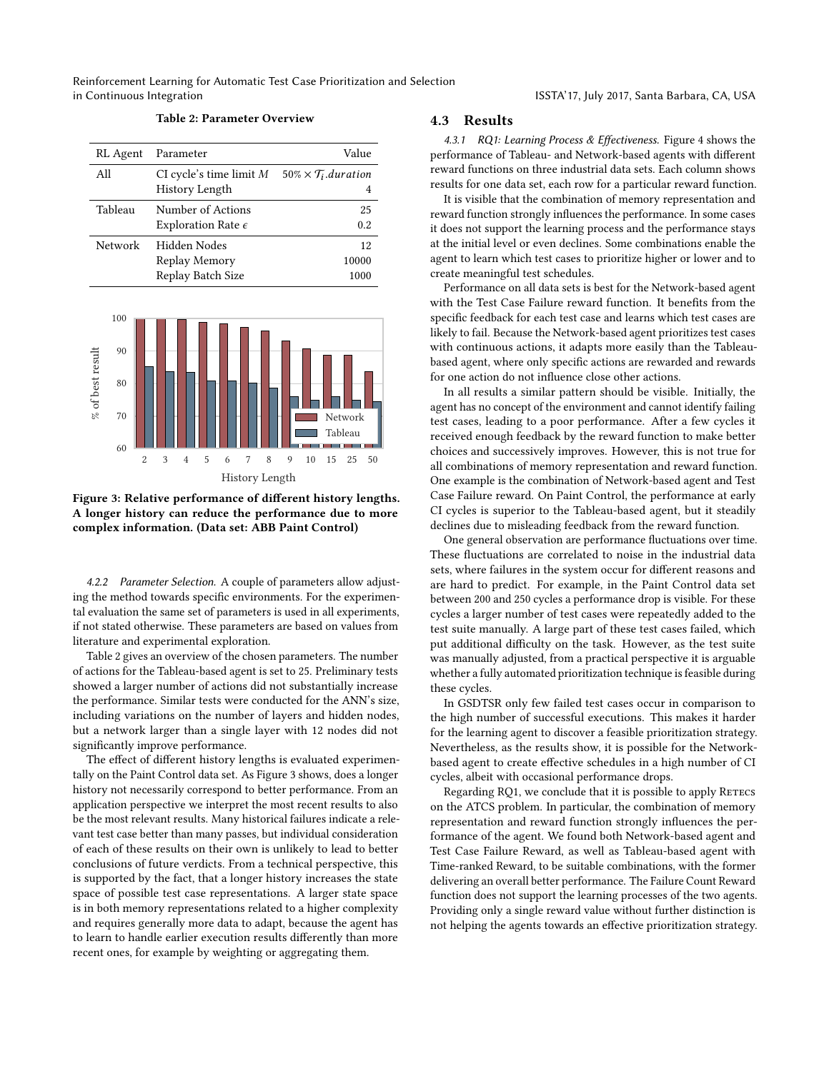<span id="page-6-1"></span>

| RL Agent | Parameter                                          | Value                            |
|----------|----------------------------------------------------|----------------------------------|
| All      | CI cycle's time limit $M$<br>History Length        | $50\% \times T_i$ .duration<br>4 |
| Tableau  | Number of Actions<br>Exploration Rate $\epsilon$   | 25<br>0.2                        |
| Network  | Hidden Nodes<br>Replay Memory<br>Replay Batch Size | 12<br>10000<br>1000              |

Table 2: Parameter Overview

<span id="page-6-2"></span>

Figure 3: Relative performance of different history lengths. A longer history can reduce the performance due to more complex information. (Data set: ABB Paint Control)

4.2.2 Parameter Selection. A couple of parameters allow adjusting the method towards specific environments. For the experimental evaluation the same set of parameters is used in all experiments, if not stated otherwise. These parameters are based on values from literature and experimental exploration.

[Table 2](#page-6-1) gives an overview of the chosen parameters. The number of actions for the Tableau-based agent is set to 25. Preliminary tests showed a larger number of actions did not substantially increase the performance. Similar tests were conducted for the ANN's size, including variations on the number of layers and hidden nodes, but a network larger than a single layer with 12 nodes did not significantly improve performance.

The effect of different history lengths is evaluated experimentally on the Paint Control data set. As [Figure 3](#page-6-2) shows, does a longer history not necessarily correspond to better performance. From an application perspective we interpret the most recent results to also be the most relevant results. Many historical failures indicate a relevant test case better than many passes, but individual consideration of each of these results on their own is unlikely to lead to better conclusions of future verdicts. From a technical perspective, this is supported by the fact, that a longer history increases the state space of possible test case representations. A larger state space is in both memory representations related to a higher complexity and requires generally more data to adapt, because the agent has to learn to handle earlier execution results differently than more recent ones, for example by weighting or aggregating them.

#### <span id="page-6-0"></span>4.3 Results

4.3.1 RQ1: Learning Process & Effectiveness. [Figure 4](#page-7-1) shows the performance of Tableau- and Network-based agents with different reward functions on three industrial data sets. Each column shows results for one data set, each row for a particular reward function.

It is visible that the combination of memory representation and reward function strongly influences the performance. In some cases it does not support the learning process and the performance stays at the initial level or even declines. Some combinations enable the agent to learn which test cases to prioritize higher or lower and to create meaningful test schedules.

Performance on all data sets is best for the Network-based agent with the Test Case Failure reward function. It benefits from the specific feedback for each test case and learns which test cases are likely to fail. Because the Network-based agent prioritizes test cases with continuous actions, it adapts more easily than the Tableaubased agent, where only specific actions are rewarded and rewards for one action do not influence close other actions.

In all results a similar pattern should be visible. Initially, the agent has no concept of the environment and cannot identify failing test cases, leading to a poor performance. After a few cycles it received enough feedback by the reward function to make better choices and successively improves. However, this is not true for all combinations of memory representation and reward function. One example is the combination of Network-based agent and Test Case Failure reward. On Paint Control, the performance at early CI cycles is superior to the Tableau-based agent, but it steadily declines due to misleading feedback from the reward function.

One general observation are performance fluctuations over time. These fluctuations are correlated to noise in the industrial data sets, where failures in the system occur for different reasons and are hard to predict. For example, in the Paint Control data set between 200 and 250 cycles a performance drop is visible. For these cycles a larger number of test cases were repeatedly added to the test suite manually. A large part of these test cases failed, which put additional difficulty on the task. However, as the test suite was manually adjusted, from a practical perspective it is arguable whether a fully automated prioritization technique is feasible during these cycles.

In GSDTSR only few failed test cases occur in comparison to the high number of successful executions. This makes it harder for the learning agent to discover a feasible prioritization strategy. Nevertheless, as the results show, it is possible for the Networkbased agent to create effective schedules in a high number of CI cycles, albeit with occasional performance drops.

Regarding RQ1, we conclude that it is possible to apply RETECS on the ATCS problem. In particular, the combination of memory representation and reward function strongly influences the performance of the agent. We found both Network-based agent and Test Case Failure Reward, as well as Tableau-based agent with Time-ranked Reward, to be suitable combinations, with the former delivering an overall better performance. The Failure Count Reward function does not support the learning processes of the two agents. Providing only a single reward value without further distinction is not helping the agents towards an effective prioritization strategy.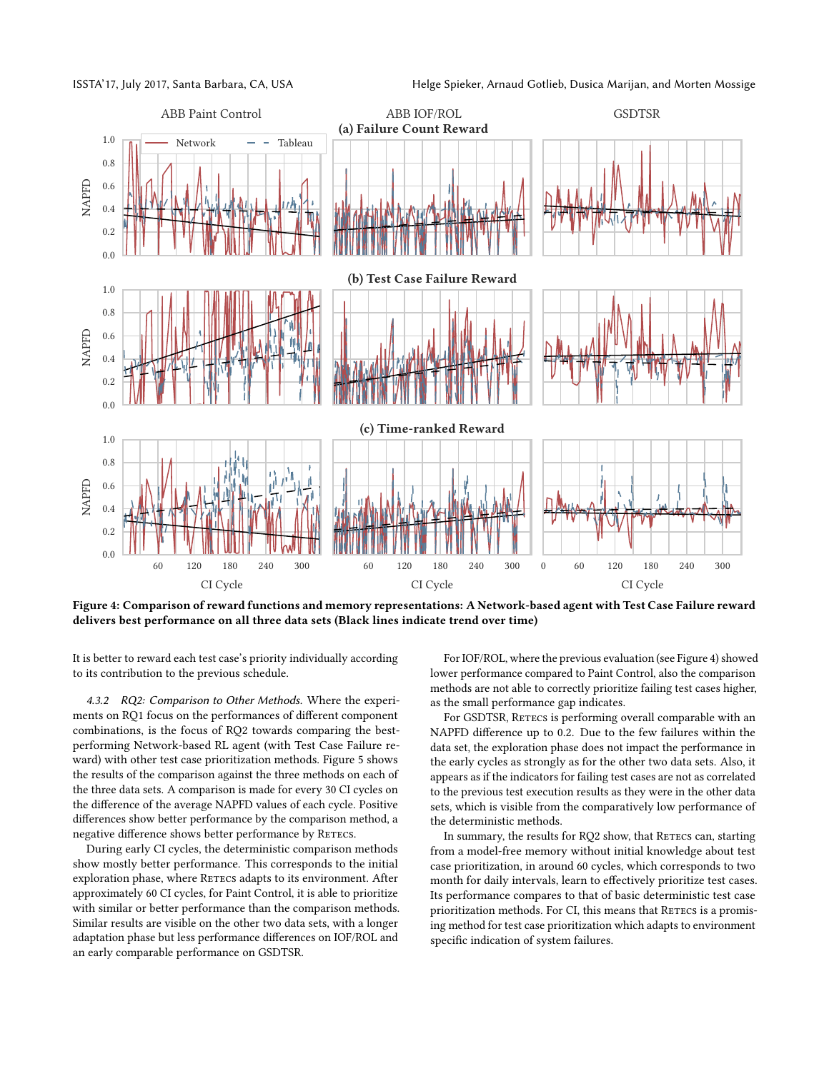<span id="page-7-1"></span>

Figure 4: Comparison of reward functions and memory representations: A Network-based agent with Test Case Failure reward delivers best performance on all three data sets (Black lines indicate trend over time)

It is better to reward each test case's priority individually according to its contribution to the previous schedule.

4.3.2 RQ2: Comparison to Other Methods. Where the experiments on RQ1 focus on the performances of different component combinations, is the focus of RQ2 towards comparing the bestperforming Network-based RL agent (with Test Case Failure reward) with other test case prioritization methods. [Figure 5](#page-8-1) shows the results of the comparison against the three methods on each of the three data sets. A comparison is made for every 30 CI cycles on the difference of the average NAPFD values of each cycle. Positive differences show better performance by the comparison method, a negative difference shows better performance by RETECS.

During early CI cycles, the deterministic comparison methods show mostly better performance. This corresponds to the initial exploration phase, where RETECS adapts to its environment. After approximately 60 CI cycles, for Paint Control, it is able to prioritize with similar or better performance than the comparison methods. Similar results are visible on the other two data sets, with a longer adaptation phase but less performance differences on IOF/ROL and an early comparable performance on GSDTSR.

For IOF/ROL, where the previous evaluation (see [Figure 4\)](#page-7-1) showed lower performance compared to Paint Control, also the comparison methods are not able to correctly prioritize failing test cases higher, as the small performance gap indicates.

For GSDTSR, RETECS is performing overall comparable with an NAPFD difference up to 0.2. Due to the few failures within the data set, the exploration phase does not impact the performance in the early cycles as strongly as for the other two data sets. Also, it appears as if the indicators for failing test cases are not as correlated to the previous test execution results as they were in the other data sets, which is visible from the comparatively low performance of the deterministic methods.

<span id="page-7-0"></span>In summary, the results for RQ2 show, that RETECS can, starting from a model-free memory without initial knowledge about test case prioritization, in around 60 cycles, which corresponds to two month for daily intervals, learn to effectively prioritize test cases. Its performance compares to that of basic deterministic test case prioritization methods. For CI, this means that RETECS is a promising method for test case prioritization which adapts to environment specific indication of system failures.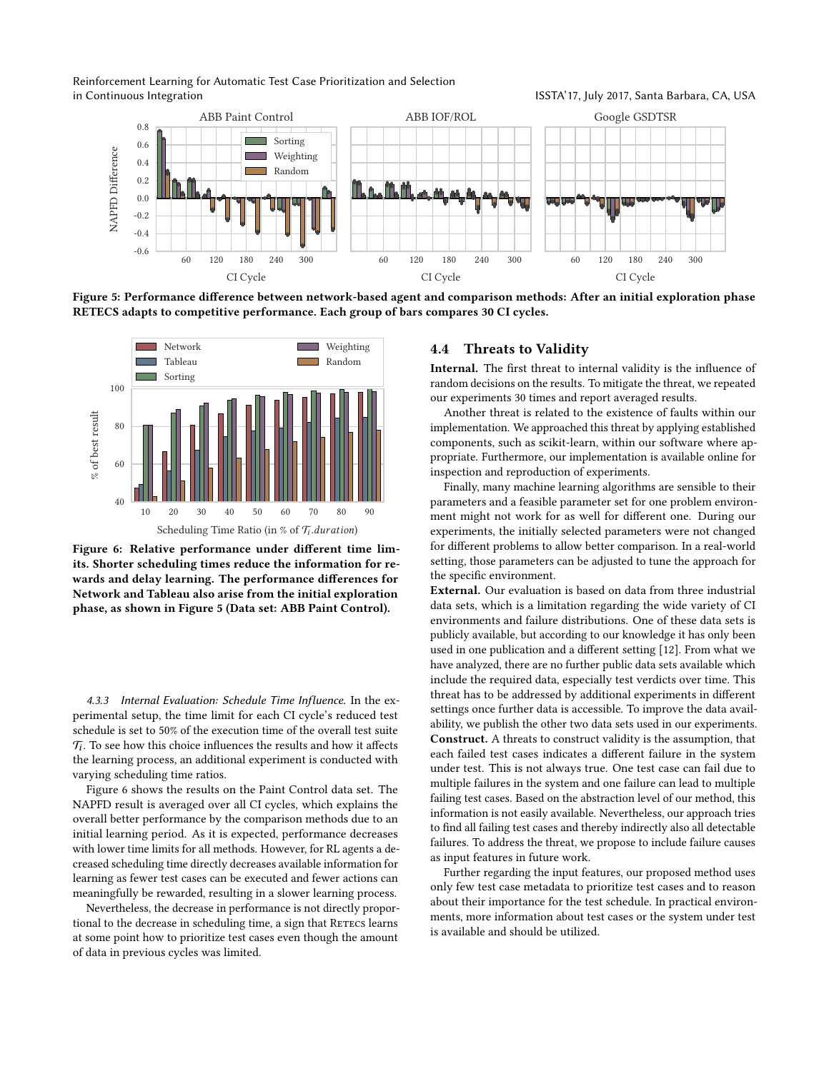<span id="page-8-1"></span>

Figure 5: Performance difference between network-based agent and comparison methods: After an initial exploration phase RETECS adapts to competitive performance. Each group of bars compares 30 CI cycles.

<span id="page-8-2"></span>

Figure 6: Relative performance under different time limits. Shorter scheduling times reduce the information for rewards and delay learning. The performance differences for Network and Tableau also arise from the initial exploration phase, as shown in [Figure 5](#page-8-1) (Data set: ABB Paint Control).

4.3.3 Internal Evaluation: Schedule Time Influence. In the experimental setup, the time limit for each CI cycle's reduced test schedule is set to 50% of the execution time of the overall test suite  $\mathcal{T}_i$ . To see how this choice influences the results and how it affects the learning process, an additional experiment is conducted with varying scheduling time ratios.

[Figure 6](#page-8-2) shows the results on the Paint Control data set. The NAPFD result is averaged over all CI cycles, which explains the overall better performance by the comparison methods due to an initial learning period. As it is expected, performance decreases with lower time limits for all methods. However, for RL agents a decreased scheduling time directly decreases available information for learning as fewer test cases can be executed and fewer actions can meaningfully be rewarded, resulting in a slower learning process.

Nevertheless, the decrease in performance is not directly proportional to the decrease in scheduling time, a sign that RETECS learns at some point how to prioritize test cases even though the amount of data in previous cycles was limited.

#### <span id="page-8-0"></span>4.4 Threats to Validity

Internal. The first threat to internal validity is the influence of random decisions on the results. To mitigate the threat, we repeated our experiments 30 times and report averaged results.

Another threat is related to the existence of faults within our implementation. We approached this threat by applying established components, such as scikit-learn, within our software where appropriate. Furthermore, our implementation is available online for inspection and reproduction of experiments.

Finally, many machine learning algorithms are sensible to their parameters and a feasible parameter set for one problem environment might not work for as well for different one. During our experiments, the initially selected parameters were not changed for different problems to allow better comparison. In a real-world setting, those parameters can be adjusted to tune the approach for the specific environment.

External. Our evaluation is based on data from three industrial data sets, which is a limitation regarding the wide variety of CI environments and failure distributions. One of these data sets is publicly available, but according to our knowledge it has only been used in one publication and a different setting [\[12\]](#page-10-18). From what we have analyzed, there are no further public data sets available which include the required data, especially test verdicts over time. This threat has to be addressed by additional experiments in different settings once further data is accessible. To improve the data availability, we publish the other two data sets used in our experiments. Construct. A threats to construct validity is the assumption, that each failed test cases indicates a different failure in the system under test. This is not always true. One test case can fail due to multiple failures in the system and one failure can lead to multiple failing test cases. Based on the abstraction level of our method, this information is not easily available. Nevertheless, our approach tries to find all failing test cases and thereby indirectly also all detectable failures. To address the threat, we propose to include failure causes as input features in future work.

Further regarding the input features, our proposed method uses only few test case metadata to prioritize test cases and to reason about their importance for the test schedule. In practical environments, more information about test cases or the system under test is available and should be utilized.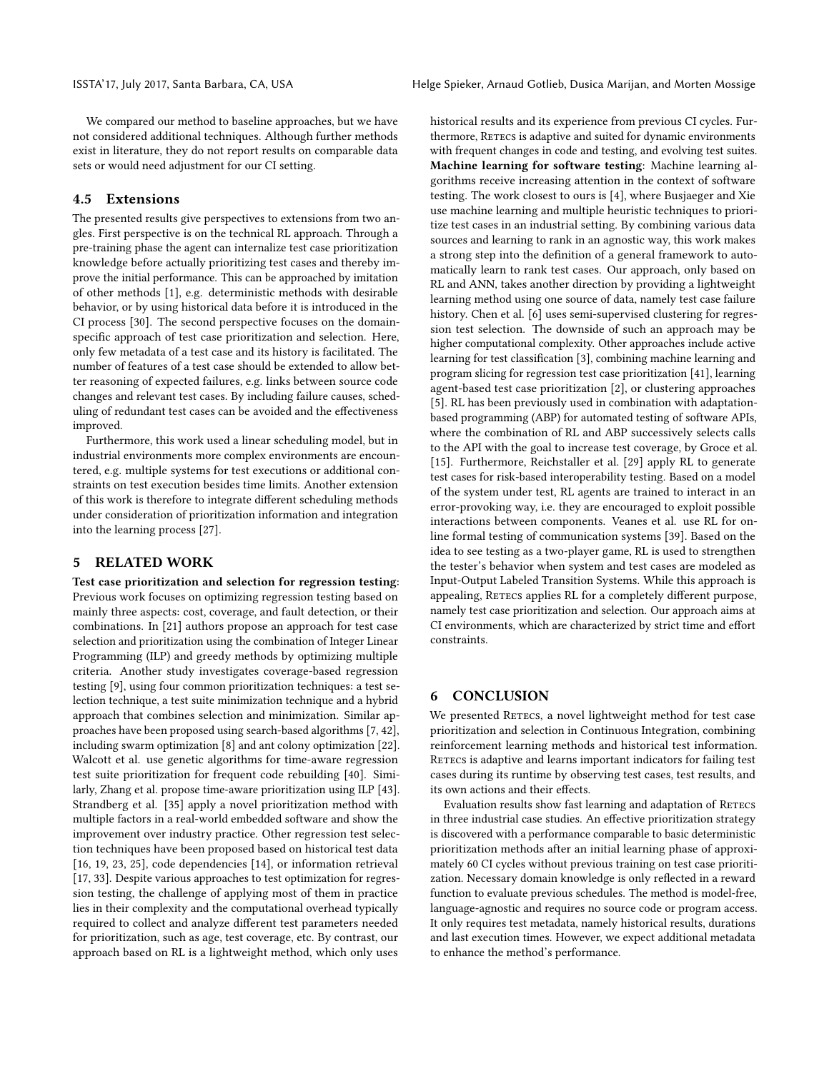We compared our method to baseline approaches, but we have not considered additional techniques. Although further methods exist in literature, they do not report results on comparable data sets or would need adjustment for our CI setting.

#### <span id="page-9-2"></span>4.5 Extensions

The presented results give perspectives to extensions from two angles. First perspective is on the technical RL approach. Through a pre-training phase the agent can internalize test case prioritization knowledge before actually prioritizing test cases and thereby improve the initial performance. This can be approached by imitation of other methods [\[1\]](#page-10-19), e.g. deterministic methods with desirable behavior, or by using historical data before it is introduced in the CI process [\[30\]](#page-10-20). The second perspective focuses on the domainspecific approach of test case prioritization and selection. Here, only few metadata of a test case and its history is facilitated. The number of features of a test case should be extended to allow better reasoning of expected failures, e.g. links between source code changes and relevant test cases. By including failure causes, scheduling of redundant test cases can be avoided and the effectiveness improved.

Furthermore, this work used a linear scheduling model, but in industrial environments more complex environments are encountered, e.g. multiple systems for test executions or additional constraints on test execution besides time limits. Another extension of this work is therefore to integrate different scheduling methods under consideration of prioritization information and integration into the learning process [\[27\]](#page-10-21).

#### <span id="page-9-0"></span>5 RELATED WORK

Test case prioritization and selection for regression testing: Previous work focuses on optimizing regression testing based on mainly three aspects: cost, coverage, and fault detection, or their combinations. In [\[21\]](#page-10-22) authors propose an approach for test case selection and prioritization using the combination of Integer Linear Programming (ILP) and greedy methods by optimizing multiple criteria. Another study investigates coverage-based regression testing [\[9\]](#page-10-4), using four common prioritization techniques: a test selection technique, a test suite minimization technique and a hybrid approach that combines selection and minimization. Similar approaches have been proposed using search-based algorithms [\[7,](#page-10-23) [42\]](#page-11-2), including swarm optimization [\[8\]](#page-10-24) and ant colony optimization [\[22\]](#page-10-25). Walcott et al. use genetic algorithms for time-aware regression test suite prioritization for frequent code rebuilding [\[40\]](#page-10-26). Similarly, Zhang et al. propose time-aware prioritization using ILP [\[43\]](#page-11-3). Strandberg et al. [\[35\]](#page-10-27) apply a novel prioritization method with multiple factors in a real-world embedded software and show the improvement over industry practice. Other regression test selection techniques have been proposed based on historical test data [\[16,](#page-10-5) [19,](#page-10-6) [23,](#page-10-7) [25\]](#page-10-28), code dependencies [\[14\]](#page-10-29), or information retrieval [\[17,](#page-10-30) [33\]](#page-10-31). Despite various approaches to test optimization for regression testing, the challenge of applying most of them in practice lies in their complexity and the computational overhead typically required to collect and analyze different test parameters needed for prioritization, such as age, test coverage, etc. By contrast, our approach based on RL is a lightweight method, which only uses

historical results and its experience from previous CI cycles. Furthermore, RETECS is adaptive and suited for dynamic environments with frequent changes in code and testing, and evolving test suites. Machine learning for software testing: Machine learning algorithms receive increasing attention in the context of software testing. The work closest to ours is [\[4\]](#page-10-32), where Busjaeger and Xie use machine learning and multiple heuristic techniques to prioritize test cases in an industrial setting. By combining various data sources and learning to rank in an agnostic way, this work makes a strong step into the definition of a general framework to automatically learn to rank test cases. Our approach, only based on RL and ANN, takes another direction by providing a lightweight learning method using one source of data, namely test case failure history. Chen et al. [\[6\]](#page-10-33) uses semi-supervised clustering for regression test selection. The downside of such an approach may be higher computational complexity. Other approaches include active learning for test classification [\[3\]](#page-10-34), combining machine learning and program slicing for regression test case prioritization [\[41\]](#page-10-35), learning agent-based test case prioritization [\[2\]](#page-10-36), or clustering approaches [\[5\]](#page-10-37). RL has been previously used in combination with adaptationbased programming (ABP) for automated testing of software APIs, where the combination of RL and ABP successively selects calls to the API with the goal to increase test coverage, by [Groce et al.](#page-10-38) [\[15\]](#page-10-38). Furthermore, [Reichstaller et al.](#page-10-39) [\[29\]](#page-10-39) apply RL to generate test cases for risk-based interoperability testing. Based on a model of the system under test, RL agents are trained to interact in an error-provoking way, i.e. they are encouraged to exploit possible interactions between components. Veanes et al. use RL for online formal testing of communication systems [\[39\]](#page-10-40). Based on the idea to see testing as a two-player game, RL is used to strengthen the tester's behavior when system and test cases are modeled as Input-Output Labeled Transition Systems. While this approach is appealing, RETECS applies RL for a completely different purpose, namely test case prioritization and selection. Our approach aims at CI environments, which are characterized by strict time and effort constraints.

#### <span id="page-9-1"></span>6 CONCLUSION

We presented RETECS, a novel lightweight method for test case prioritization and selection in Continuous Integration, combining reinforcement learning methods and historical test information. RETECS is adaptive and learns important indicators for failing test cases during its runtime by observing test cases, test results, and its own actions and their effects.

Evaluation results show fast learning and adaptation of RETECS in three industrial case studies. An effective prioritization strategy is discovered with a performance comparable to basic deterministic prioritization methods after an initial learning phase of approximately 60 CI cycles without previous training on test case prioritization. Necessary domain knowledge is only reflected in a reward function to evaluate previous schedules. The method is model-free, language-agnostic and requires no source code or program access. It only requires test metadata, namely historical results, durations and last execution times. However, we expect additional metadata to enhance the method's performance.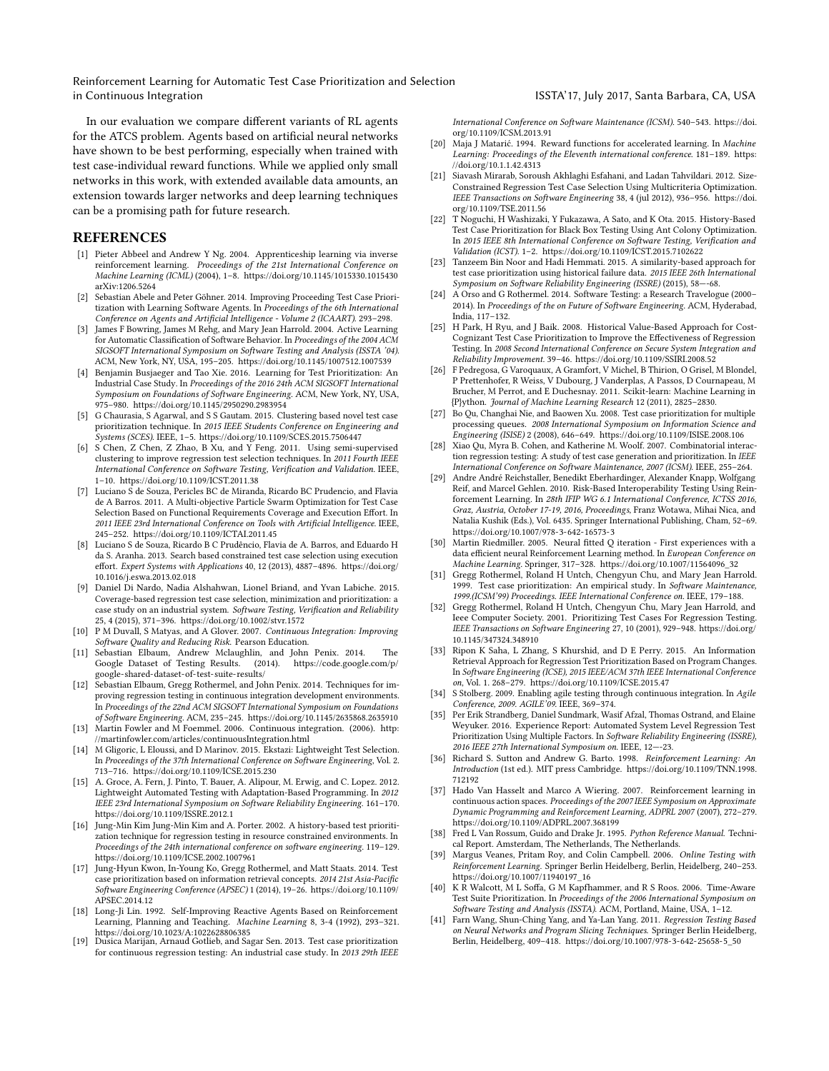In our evaluation we compare different variants of RL agents for the ATCS problem. Agents based on artificial neural networks have shown to be best performing, especially when trained with test case-individual reward functions. While we applied only small networks in this work, with extended available data amounts, an extension towards larger networks and deep learning techniques

can be a promising path for future research.

#### REFERENCES

- <span id="page-10-19"></span>[1] Pieter Abbeel and Andrew Y Ng. 2004. Apprenticeship learning via inverse reinforcement learning. Proceedings of the 21st International Conference on Machine Learning (ICML) (2004), 1–8.<https://doi.org/10.1145/1015330.1015430> arXiv[:1206.5264](http://arxiv.org/abs/1206.5264)
- <span id="page-10-36"></span>[2] Sebastian Abele and Peter Göhner. 2014. Improving Proceeding Test Case Prioritization with Learning Software Agents. In Proceedings of the 6th International Conference on Agents and Artificial Intelligence - Volume 2 (ICAART). 293-298.
- <span id="page-10-34"></span>[3] James F Bowring, James M Rehg, and Mary Jean Harrold. 2004. Active Learning for Automatic Classification of Software Behavior. In Proceedings of the 2004 ACM SIGSOFT International Symposium on Software Testing and Analysis (ISSTA '04). ACM, New York, NY, USA, 195–205.<https://doi.org/10.1145/1007512.1007539>
- <span id="page-10-32"></span>[4] Benjamin Busjaeger and Tao Xie. 2016. Learning for Test Prioritization: An Industrial Case Study. In Proceedings of the 2016 24th ACM SIGSOFT International Symposium on Foundations of Software Engineering. ACM, New York, NY, USA, 975–980.<https://doi.org/10.1145/2950290.2983954>
- <span id="page-10-37"></span>[5] G Chaurasia, S Agarwal, and S S Gautam. 2015. Clustering based novel test case prioritization technique. In 2015 IEEE Students Conference on Engineering and Systems (SCES). IEEE, 1–5.<https://doi.org/10.1109/SCES.2015.7506447>
- <span id="page-10-33"></span>[6] S Chen, Z Chen, Z Zhao, B Xu, and Y Feng. 2011. Using semi-supervised clustering to improve regression test selection techniques. In 2011 Fourth IEEE International Conference on Software Testing, Verification and Validation. IEEE, 1–10.<https://doi.org/10.1109/ICST.2011.38>
- <span id="page-10-23"></span>[7] Luciano S de Souza, Pericles BC de Miranda, Ricardo BC Prudencio, and Flavia de A Barros. 2011. A Multi-objective Particle Swarm Optimization for Test Case Selection Based on Functional Requirements Coverage and Execution Effort. In 2011 IEEE 23rd International Conference on Tools with Artificial Intelligence. IEEE, 245–252.<https://doi.org/10.1109/ICTAI.2011.45>
- <span id="page-10-24"></span>[8] Luciano S de Souza, Ricardo B C Prudêncio, Flavia de A. Barros, and Eduardo H da S. Aranha. 2013. Search based constrained test case selection using execution effort. Expert Systems with Applications 40, 12 (2013), 4887-4896. [https://doi.org/](https://doi.org/10.1016/j.eswa.2013.02.018) [10.1016/j.eswa.2013.02.018](https://doi.org/10.1016/j.eswa.2013.02.018)
- <span id="page-10-4"></span>[9] Daniel Di Nardo, Nadia Alshahwan, Lionel Briand, and Yvan Labiche. 2015. Coverage-based regression test case selection, minimization and prioritization: a case study on an industrial system. Software Testing, Verification and Reliability 25, 4 (2015), 371–396.<https://doi.org/10.1002/stvr.1572>
- <span id="page-10-0"></span>[10] P M Duvall, S Matyas, and A Glover. 2007. Continuous Integration: Improving Software Quality and Reducing Risk. Pearson Education.
- <span id="page-10-17"></span>[11] Sebastian Elbaum, Andrew Mclaughlin, and John Penix. 2014. The Google Dataset of Testing Results. [google-shared-dataset-of-test-suite-results/](https://code.google.com/p/google-shared-dataset-of-test-suite-results/)
- <span id="page-10-18"></span>[12] Sebastian Elbaum, Gregg Rothermel, and John Penix. 2014. Techniques for improving regression testing in continuous integration development environments. In Proceedings of the 22nd ACM SIGSOFT International Symposium on Foundations of Software Engineering. ACM, 235–245.<https://doi.org/10.1145/2635868.2635910>
- <span id="page-10-1"></span>[13] Martin Fowler and M Foemmel. 2006. Continuous integration. (2006). [http:](http://martinfowler.com/articles/continuousIntegration.html) [//martinfowler.com/articles/continuousIntegration.html](http://martinfowler.com/articles/continuousIntegration.html)
- <span id="page-10-29"></span>[14] M Gligoric, L Eloussi, and D Marinov. 2015. Ekstazi: Lightweight Test Selection. In Proceedings of the 37th International Conference on Software Engineering, Vol. 2. 713–716.<https://doi.org/10.1109/ICSE.2015.230>
- <span id="page-10-38"></span>[15] A. Groce, A. Fern, J. Pinto, T. Bauer, A. Alipour, M. Erwig, and C. Lopez. 2012. Lightweight Automated Testing with Adaptation-Based Programming. In 2012 IEEE 23rd International Symposium on Software Reliability Engineering. 161–170. <https://doi.org/10.1109/ISSRE.2012.1>
- <span id="page-10-5"></span>[16] Jung-Min Kim Jung-Min Kim and A. Porter. 2002. A history-based test prioritization technique for regression testing in resource constrained environments. In Proceedings of the 24th international conference on software engineering. 119–129. <https://doi.org/10.1109/ICSE.2002.1007961>
- <span id="page-10-30"></span>[17] Jung-Hyun Kwon, In-Young Ko, Gregg Rothermel, and Matt Staats. 2014. Test case prioritization based on information retrieval concepts. 2014 21st Asia-Pacific Software Engineering Conference (APSEC) 1 (2014), 19–26. [https://doi.org/10.1109/](https://doi.org/10.1109/APSEC.2014.12) [APSEC.2014.12](https://doi.org/10.1109/APSEC.2014.12)
- <span id="page-10-12"></span>[18] Long-Ji Lin. 1992. Self-Improving Reactive Agents Based on Reinforcement Learning, Planning and Teaching. Machine Learning 8, 3-4 (1992), 293–321. <https://doi.org/10.1023/A:1022628806385>
- <span id="page-10-6"></span>[19] Dusica Marijan, Arnaud Gotlieb, and Sagar Sen. 2013. Test case prioritization for continuous regression testing: An industrial case study. In 2013 29th IEEE

International Conference on Software Maintenance (ICSM). 540–543. [https://doi.](https://doi.org/10.1109/ICSM.2013.91) [org/10.1109/ICSM.2013.91](https://doi.org/10.1109/ICSM.2013.91)

- <span id="page-10-10"></span>[20] Maja J Matarić. 1994. Reward functions for accelerated learning. In Machine Learning: Proceedings of the Eleventh international conference. 181–189. [https:](https://doi.org/10.1.1.42.4313) [//doi.org/10.1.1.42.4313](https://doi.org/10.1.1.42.4313)
- <span id="page-10-22"></span>[21] Siavash Mirarab, Soroush Akhlaghi Esfahani, and Ladan Tahvildari. 2012. Size-Constrained Regression Test Case Selection Using Multicriteria Optimization. IEEE Transactions on Software Engineering 38, 4 (jul 2012), 936–956. [https://doi.](https://doi.org/10.1109/TSE.2011.56) [org/10.1109/TSE.2011.56](https://doi.org/10.1109/TSE.2011.56)
- <span id="page-10-25"></span>[22] T Noguchi, H Washizaki, Y Fukazawa, A Sato, and K Ota. 2015. History-Based Test Case Prioritization for Black Box Testing Using Ant Colony Optimization. In 2015 IEEE 8th International Conference on Software Testing, Verification and Validation (ICST). 1–2.<https://doi.org/10.1109/ICST.2015.7102622>
- <span id="page-10-7"></span>[23] Tanzeem Bin Noor and Hadi Hemmati. 2015. A similarity-based approach for test case prioritization using historical failure data. 2015 IEEE 26th International Symposium on Software Reliability Engineering (ISSRE) (2015), 58—-68.
- <span id="page-10-2"></span>[24] A Orso and G Rothermel. 2014. Software Testing: a Research Travelogue (2000– 2014). In Proceedings of the on Future of Software Engineering. ACM, Hyderabad, India, 117–132.
- <span id="page-10-28"></span>[25] H Park, H Ryu, and J Baik. 2008. Historical Value-Based Approach for Cost-Cognizant Test Case Prioritization to Improve the Effectiveness of Regression Testing. In 2008 Second International Conference on Secure System Integration and Reliability Improvement. 39–46.<https://doi.org/10.1109/SSIRI.2008.52>
- <span id="page-10-16"></span>[26] F Pedregosa, G Varoquaux, A Gramfort, V Michel, B Thirion, O Grisel, M Blondel, P Prettenhofer, R Weiss, V Dubourg, J Vanderplas, A Passos, D Cournapeau, M Brucher, M Perrot, and E Duchesnay. 2011. Scikit-learn: Machine Learning in {P}ython. Journal of Machine Learning Research 12 (2011), 2825–2830.
- <span id="page-10-21"></span>[27] Bo Qu, Changhai Nie, and Baowen Xu. 2008. Test case prioritization for multiple processing queues. 2008 International Symposium on Information Science and Engineering (ISISE) 2 (2008), 646–649.<https://doi.org/10.1109/ISISE.2008.106>
- <span id="page-10-14"></span>[28] Xiao Qu, Myra B. Cohen, and Katherine M. Woolf. 2007. Combinatorial interaction regression testing: A study of test case generation and prioritization. In IEEE International Conference on Software Maintenance, 2007 (ICSM). IEEE, 255–264.
- <span id="page-10-39"></span>[29] Andre André Reichstaller, Benedikt Eberhardinger, Alexander Knapp, Wolfgang Reif, and Marcel Gehlen. 2010. Risk-Based Interoperability Testing Using Reinforcement Learning. In 28th IFIP WG 6.1 International Conference, ICTSS 2016, Graz, Austria, October 17-19, 2016, Proceedings, Franz Wotawa, Mihai Nica, and Natalia Kushik (Eds.), Vol. 6435. Springer International Publishing, Cham, 52–69. <https://doi.org/10.1007/978-3-642-16573-3>
- <span id="page-10-20"></span>[30] Martin Riedmiller. 2005. Neural fitted Q iteration - First experiences with a data efficient neural Reinforcement Learning method. In European Conference on Machine Learning. Springer, 317–328. [https://doi.org/10.1007/11564096\\_32](https://doi.org/10.1007/11564096_32)
- <span id="page-10-13"></span>[31] Gregg Rothermel, Roland H Untch, Chengyun Chu, and Mary Jean Harrold. Test case prioritization: An empirical study. In Software Maintenance, 1999.(ICSM'99) Proceedings. IEEE International Conference on. IEEE, 179–188.
- <span id="page-10-8"></span>[32] Gregg Rothermel, Roland H Untch, Chengyun Chu, Mary Jean Harrold, and Ieee Computer Society. 2001. Prioritizing Test Cases For Regression Testing. IEEE Transactions on Software Engineering 27, 10 (2001), 929–948. [https://doi.org/](https://doi.org/10.1145/347324.348910) [10.1145/347324.348910](https://doi.org/10.1145/347324.348910)
- <span id="page-10-31"></span>[33] Ripon K Saha, L Zhang, S Khurshid, and D E Perry. 2015. An Information Retrieval Approach for Regression Test Prioritization Based on Program Changes. In Software Engineering (ICSE), 2015 IEEE/ACM 37th IEEE International Conference on, Vol. 1. 268–279.<https://doi.org/10.1109/ICSE.2015.47>
- <span id="page-10-3"></span>[34] S Stolberg. 2009. Enabling agile testing through continuous integration. In Agile Conference, 2009. AGILE'09. IEEE, 369–374.
- <span id="page-10-27"></span>[35] Per Erik Strandberg, Daniel Sundmark, Wasif Afzal, Thomas Ostrand, and Elaine Weyuker. 2016. Experience Report: Automated System Level Regression Test Prioritization Using Multiple Factors. In Software Reliability Engineering (ISSRE), 2016 IEEE 27th International Symposium on. IEEE, 12—-23.
- <span id="page-10-9"></span>[36] Richard S. Sutton and Andrew G. Barto. 1998. Reinforcement Learning: An Introduction (1st ed.). MIT press Cambridge. [https://doi.org/10.1109/TNN.1998.](https://doi.org/10.1109/TNN.1998.712192) [712192](https://doi.org/10.1109/TNN.1998.712192)
- <span id="page-10-11"></span>[37] Hado Van Hasselt and Marco A Wiering. 2007. Reinforcement learning in continuous action spaces. Proceedings of the 2007 IEEE Symposium on Approximate Dynamic Programming and Reinforcement Learning, ADPRL 2007 (2007), 272–279. <https://doi.org/10.1109/ADPRL.2007.368199>
- <span id="page-10-15"></span>[38] Fred L Van Rossum, Guido and Drake Jr. 1995. Python Reference Manual. Technical Report. Amsterdam, The Netherlands, The Netherlands.
- <span id="page-10-40"></span>[39] Margus Veanes, Pritam Roy, and Colin Campbell. 2006. Online Testing with Reinforcement Learning. Springer Berlin Heidelberg, Berlin, Heidelberg, 240–253. [https://doi.org/10.1007/11940197\\_16](https://doi.org/10.1007/11940197_16)
- <span id="page-10-26"></span>[40] K R Walcott, M L Soffa, G M Kapfhammer, and R S Roos. 2006. Time-Aware Test Suite Prioritization. In Proceedings of the 2006 International Symposium on Software Testing and Analysis (ISSTA). ACM, Portland, Maine, USA, 1–12.
- <span id="page-10-35"></span>[41] Farn Wang, Shun-Ching Yang, and Ya-Lan Yang. 2011. Regression Testing Based on Neural Networks and Program Slicing Techniques. Springer Berlin Heidelberg, Berlin, Heidelberg, 409–418. [https://doi.org/10.1007/978-3-642-25658-5\\_50](https://doi.org/10.1007/978-3-642-25658-5_50)